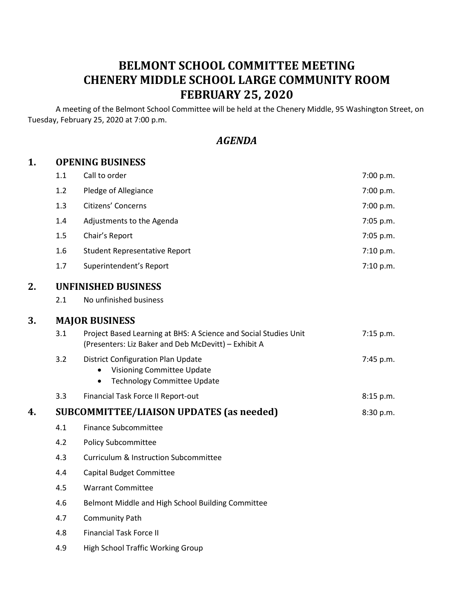# **BELMONT SCHOOL COMMITTEE MEETING CHENERY MIDDLE SCHOOL LARGE COMMUNITY ROOM FEBRUARY 25, 2020**

A meeting of the Belmont School Committee will be held at the Chenery Middle, 95 Washington Street, on Tuesday, February 25, 2020 at 7:00 p.m.

# *AGENDA*

## **1. OPENING BUSINESS**

|    | 1.1                                                          | Call to order                                                                                                                     | 7:00 p.m. |
|----|--------------------------------------------------------------|-----------------------------------------------------------------------------------------------------------------------------------|-----------|
|    | 1.2                                                          | Pledge of Allegiance                                                                                                              | 7:00 p.m. |
|    | 1.3                                                          | Citizens' Concerns                                                                                                                | 7:00 p.m. |
|    | 1.4                                                          | Adjustments to the Agenda                                                                                                         | 7:05 p.m. |
|    | 1.5                                                          | Chair's Report                                                                                                                    | 7:05 p.m. |
|    | 1.6                                                          | <b>Student Representative Report</b>                                                                                              | 7:10 p.m. |
|    | 1.7                                                          | Superintendent's Report                                                                                                           | 7:10 p.m. |
| 2. | <b>UNFINISHED BUSINESS</b>                                   |                                                                                                                                   |           |
|    | 2.1                                                          | No unfinished business                                                                                                            |           |
| 3. | <b>MAJOR BUSINESS</b>                                        |                                                                                                                                   |           |
|    | 3.1                                                          | Project Based Learning at BHS: A Science and Social Studies Unit<br>(Presenters: Liz Baker and Deb McDevitt) - Exhibit A          | 7:15 p.m. |
|    | 3.2                                                          | <b>District Configuration Plan Update</b><br><b>Visioning Committee Update</b><br><b>Technology Committee Update</b><br>$\bullet$ | 7:45 p.m. |
|    | 3.3                                                          | Financial Task Force II Report-out                                                                                                | 8:15 p.m. |
| 4. | <b>SUBCOMMITTEE/LIAISON UPDATES (as needed)</b><br>8:30 p.m. |                                                                                                                                   |           |
|    | 4.1                                                          | <b>Finance Subcommittee</b>                                                                                                       |           |
|    | 4.2                                                          | <b>Policy Subcommittee</b>                                                                                                        |           |
|    | 4.3                                                          | <b>Curriculum &amp; Instruction Subcommittee</b>                                                                                  |           |
|    | 4.4                                                          | <b>Capital Budget Committee</b>                                                                                                   |           |
|    | 4.5                                                          | <b>Warrant Committee</b>                                                                                                          |           |
|    | 4.6                                                          | Belmont Middle and High School Building Committee                                                                                 |           |
|    | 4.7                                                          | <b>Community Path</b>                                                                                                             |           |
|    | 4.8                                                          | <b>Financial Task Force II</b>                                                                                                    |           |
|    | 4.9                                                          | <b>High School Traffic Working Group</b>                                                                                          |           |